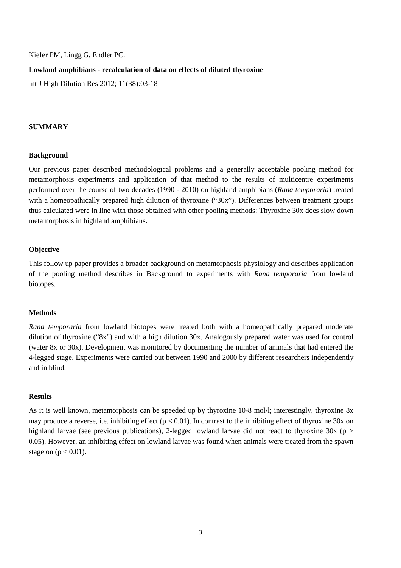Kiefer PM, Lingg G, Endler PC.

### **Lowland amphibians - recalculation of data on effects of diluted thyroxine**

Int J High Dilution Res 2012; 11(38):03-18

### **SUMMARY**

#### **Background**

Our previous paper described methodological problems and a generally acceptable pooling method for metamorphosis experiments and application of that method to the results of multicentre experiments performed over the course of two decades (1990 - 2010) on highland amphibians (*Rana temporaria*) treated with a homeopathically prepared high dilution of thyroxine ("30x"). Differences between treatment groups thus calculated were in line with those obtained with other pooling methods: Thyroxine 30x does slow down metamorphosis in highland amphibians.

### **Objective**

This follow up paper provides a broader background on metamorphosis physiology and describes application of the pooling method describes in Background to experiments with *Rana temporaria* from lowland biotopes.

### **Methods**

*Rana temporaria* from lowland biotopes were treated both with a homeopathically prepared moderate dilution of thyroxine ("8x") and with a high dilution 30x. Analogously prepared water was used for control (water 8x or 30x). Development was monitored by documenting the number of animals that had entered the 4-legged stage. Experiments were carried out between 1990 and 2000 by different researchers independently and in blind.

### **Results**

As it is well known, metamorphosis can be speeded up by thyroxine 10-8 mol/l; interestingly, thyroxine 8x may produce a reverse, i.e. inhibiting effect ( $p < 0.01$ ). In contrast to the inhibiting effect of thyroxine 30x on highland larvae (see previous publications), 2-legged lowland larvae did not react to thyroxine 30x (p > 0.05). However, an inhibiting effect on lowland larvae was found when animals were treated from the spawn stage on  $(p < 0.01)$ .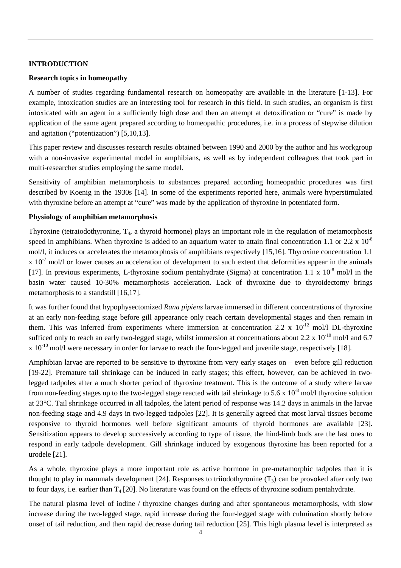# **INTRODUCTION**

### **Research topics in homeopathy**

A number of studies regarding fundamental research on homeopathy are available in the literature [1-13]. For example, intoxication studies are an interesting tool for research in this field. In such studies, an organism is first intoxicated with an agent in a sufficiently high dose and then an attempt at detoxification or "cure" is made by application of the same agent prepared according to homeopathic procedures, i.e. in a process of stepwise dilution and agitation ("potentization") [5,10,13].

This paper review and discusses research results obtained between 1990 and 2000 by the author and his workgroup with a non-invasive experimental model in amphibians, as well as by independent colleagues that took part in multi-researcher studies employing the same model.

Sensitivity of amphibian metamorphosis to substances prepared according homeopathic procedures was first described by Koenig in the 1930s [14]. In some of the experiments reported here, animals were hyperstimulated with thyroxine before an attempt at "cure" was made by the application of thyroxine in potentiated form.

### **Physiology of amphibian metamorphosis**

Thyroxine (tetraiodothyronine,  $T_4$ , a thyroid hormone) plays an important role in the regulation of metamorphosis speed in amphibians. When thyroxine is added to an aquarium water to attain final concentration 1.1 or 2.2 x  $10^{-8}$ mol/l, it induces or accelerates the metamorphosis of amphibians respectively [15,16]. Thyroxine concentration 1.1  $x$  10<sup>-7</sup> mol/l or lower causes an acceleration of development to such extent that deformities appear in the animals [17]. In previous experiments, L-thyroxine sodium pentahydrate (Sigma) at concentration 1.1 x  $10^{-8}$  mol/l in the basin water caused 10-30% metamorphosis acceleration. Lack of thyroxine due to thyroidectomy brings metamorphosis to a standstill [16,17].

It was further found that hypophysectomized *Rana pipiens* larvae immersed in different concentrations of thyroxine at an early non-feeding stage before gill appearance only reach certain developmental stages and then remain in them. This was inferred from experiments where immersion at concentration 2.2 x  $10^{-12}$  mol/l DL-thyroxine sufficed only to reach an early two-legged stage, whilst immersion at concentrations about 2.2 x  $10^{-10}$  mol/l and 6.7  $\bar{x}$  10<sup>-10</sup> mol/l were necessary in order for larvae to reach the four-legged and juvenile stage, respectively [18].

Amphibian larvae are reported to be sensitive to thyroxine from very early stages on – even before gill reduction [19-22]. Premature tail shrinkage can be induced in early stages; this effect, however, can be achieved in twolegged tadpoles after a much shorter period of thyroxine treatment. This is the outcome of a study where larvae from non-feeding stages up to the two-legged stage reacted with tail shrinkage to 5.6 x  $10^{-8}$  mol/l thyroxine solution at 23°C. Tail shrinkage occurred in all tadpoles, the latent period of response was 14.2 days in animals in the larvae non-feeding stage and 4.9 days in two-legged tadpoles [22]. It is generally agreed that most larval tissues become responsive to thyroid hormones well before significant amounts of thyroid hormones are available [23]. Sensitization appears to develop successively according to type of tissue, the hind-limb buds are the last ones to respond in early tadpole development. Gill shrinkage induced by exogenous thyroxine has been reported for a urodele [21].

As a whole, thyroxine plays a more important role as active hormone in pre-metamorphic tadpoles than it is thought to play in mammals development [24]. Responses to triiodothyronine  $(T_3)$  can be provoked after only two to four days, i.e. earlier than  $T_4$  [20]. No literature was found on the effects of thyroxine sodium pentahydrate.

The natural plasma level of iodine / thyroxine changes during and after spontaneous metamorphosis, with slow increase during the two-legged stage, rapid increase during the four-legged stage with culmination shortly before onset of tail reduction, and then rapid decrease during tail reduction [25]. This high plasma level is interpreted as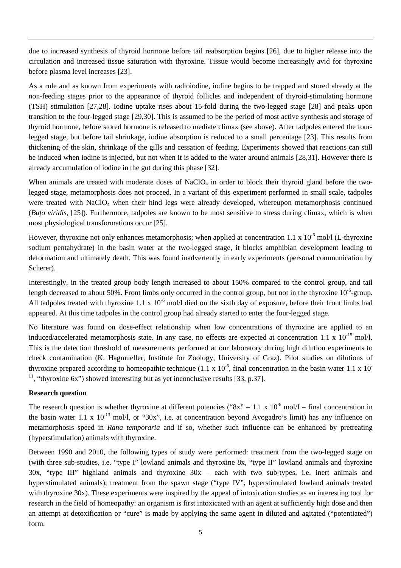due to increased synthesis of thyroid hormone before tail reabsorption begins [26], due to higher release into the circulation and increased tissue saturation with thyroxine. Tissue would become increasingly avid for thyroxine before plasma level increases [23].

As a rule and as known from experiments with radioiodine, iodine begins to be trapped and stored already at the non-feeding stages prior to the appearance of thyroid follicles and independent of thyroid-stimulating hormone (TSH) stimulation [27,28]. Iodine uptake rises about 15-fold during the two-legged stage [28] and peaks upon transition to the four-legged stage [29,30]. This is assumed to be the period of most active synthesis and storage of thyroid hormone, before stored hormone is released to mediate climax (see above). After tadpoles entered the fourlegged stage, but before tail shrinkage, iodine absorption is reduced to a small percentage [23]. This results from thickening of the skin, shrinkage of the gills and cessation of feeding. Experiments showed that reactions can still be induced when iodine is injected, but not when it is added to the water around animals [28,31]. However there is already accumulation of iodine in the gut during this phase [32].

When animals are treated with moderate doses of  $NaClO<sub>4</sub>$  in order to block their thyroid gland before the twolegged stage, metamorphosis does not proceed. In a variant of this experiment performed in small scale, tadpoles were treated with NaClO<sub>4</sub> when their hind legs were already developed, whereupon metamorphosis continued (*Bufo viridis*, [25]). Furthermore, tadpoles are known to be most sensitive to stress during climax, which is when most physiological transformations occur [25].

However, thyroxine not only enhances metamorphosis; when applied at concentration 1.1 x  $10^{-6}$  mol/l (L-thyroxine sodium pentahydrate) in the basin water at the two-legged stage, it blocks amphibian development leading to deformation and ultimately death. This was found inadvertently in early experiments (personal communication by Scherer).

Interestingly, in the treated group body length increased to about 150% compared to the control group, and tail length decreased to about 50%. Front limbs only occurred in the control group, but not in the thyroxine  $10^{-6}$ -group. All tadpoles treated with thyroxine 1.1 x  $10^{-6}$  mol/l died on the sixth day of exposure, before their front limbs had appeared. At this time tadpoles in the control group had already started to enter the four-legged stage.

No literature was found on dose-effect relationship when low concentrations of thyroxine are applied to an induced/accelerated metamorphosis state. In any case, no effects are expected at concentration 1.1 x  $10^{-15}$  mol/l. This is the detection threshold of measurements performed at our laboratory during high dilution experiments to check contamination (K. Hagmueller, Institute for Zoology, University of Graz). Pilot studies on dilutions of thyroxine prepared according to homeopathic technique (1.1 x  $10^{-6}$ , final concentration in the basin water 1.1 x 10<sup>-</sup> <sup>11</sup>, "thyroxine 6x") showed interesting but as yet inconclusive results [33, p.37].

### **Research question**

The research question is whether thyroxine at different potencies (" $8x$ " = 1.1 x 10<sup>-8</sup> mol/l = final concentration in the basin water 1.1 x  $10^{-13}$  mol/l, or "30x", i.e. at concentration beyond Avogadro's limit) has any influence on metamorphosis speed in *Rana temporaria* and if so, whether such influence can be enhanced by pretreating (hyperstimulation) animals with thyroxine.

Between 1990 and 2010, the following types of study were performed: treatment from the two-legged stage on (with three sub-studies, i.e. "type I" lowland animals and thyroxine 8x, "type II" lowland animals and thyroxine 30x, "type III" highland animals and thyroxine 30x – each with two sub-types, i.e. inert animals and hyperstimulated animals); treatment from the spawn stage ("type IV", hyperstimulated lowland animals treated with thyroxine 30x). These experiments were inspired by the appeal of intoxication studies as an interesting tool for research in the field of homeopathy: an organism is first intoxicated with an agent at sufficiently high dose and then an attempt at detoxification or "cure" is made by applying the same agent in diluted and agitated ("potentiated") form.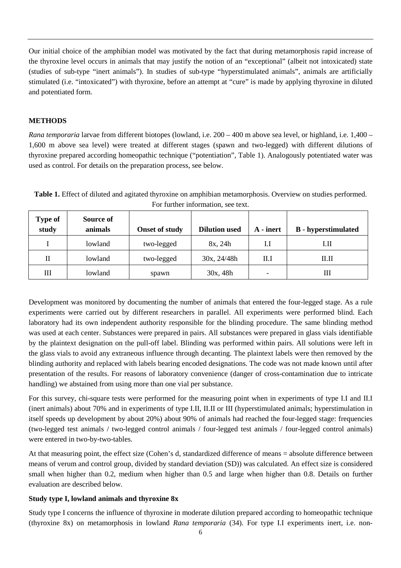Our initial choice of the amphibian model was motivated by the fact that during metamorphosis rapid increase of the thyroxine level occurs in animals that may justify the notion of an "exceptional" (albeit not intoxicated) state (studies of sub-type "inert animals"). In studies of sub-type "hyperstimulated animals", animals are artificially stimulated (i.e. "intoxicated") with thyroxine, before an attempt at "cure" is made by applying thyroxine in diluted and potentiated form.

# **METHODS**

*Rana temporaria* larvae from different biotopes (lowland, i.e. 200 – 400 m above sea level, or highland, i.e. 1,400 – 1,600 m above sea level) were treated at different stages (spawn and two-legged) with different dilutions of thyroxine prepared according homeopathic technique ("potentiation", Table 1). Analogously potentiated water was used as control. For details on the preparation process, see below.

**Type of study Source of animals b** Onset of study **Dilution used | A** - inert | **B** - hyperstimulated I lowland two-legged 8x, 24h I.I II  $II$  lowland wo-legged 30x, 24/48h II.I III III lowland spawn 30x, 48h - III

**Table 1.** Effect of diluted and agitated thyroxine on amphibian metamorphosis. Overview on studies performed. For further information, see text.

Development was monitored by documenting the number of animals that entered the four-legged stage. As a rule experiments were carried out by different researchers in parallel. All experiments were performed blind. Each laboratory had its own independent authority responsible for the blinding procedure. The same blinding method was used at each center. Substances were prepared in pairs. All substances were prepared in glass vials identifiable by the plaintext designation on the pull-off label. Blinding was performed within pairs. All solutions were left in the glass vials to avoid any extraneous influence through decanting. The plaintext labels were then removed by the blinding authority and replaced with labels bearing encoded designations. The code was not made known until after presentation of the results. For reasons of laboratory convenience (danger of cross-contamination due to intricate handling) we abstained from using more than one vial per substance.

For this survey, chi-square tests were performed for the measuring point when in experiments of type I.I and II.I (inert animals) about 70% and in experiments of type I.II, II.II or III (hyperstimulated animals; hyperstimulation in itself speeds up development by about 20%) about 90% of animals had reached the four-legged stage: frequencies (two-legged test animals / two-legged control animals / four-legged test animals / four-legged control animals) were entered in two-by-two-tables.

At that measuring point, the effect size (Cohen's d, standardized difference of means = absolute difference between means of verum and control group, divided by standard deviation (SD)) was calculated. An effect size is considered small when higher than 0.2, medium when higher than 0.5 and large when higher than 0.8. Details on further evaluation are described below.

# **Study type I, lowland animals and thyroxine 8x**

Study type I concerns the influence of thyroxine in moderate dilution prepared according to homeopathic technique (thyroxine 8x) on metamorphosis in lowland *Rana temporaria* (34). For type I.I experiments inert, i.e. non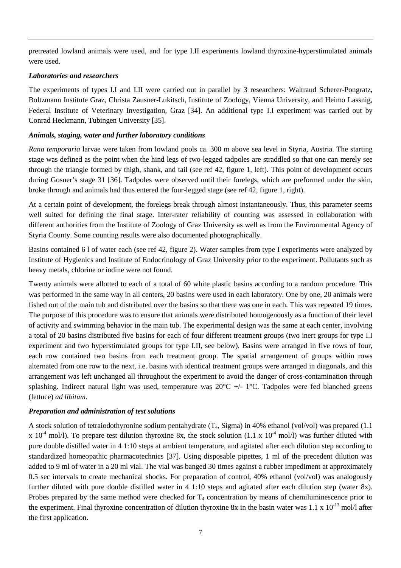pretreated lowland animals were used, and for type I.II experiments lowland thyroxine-hyperstimulated animals were used.

## *Laboratories and researchers*

The experiments of types I.I and I.II were carried out in parallel by 3 researchers: Waltraud Scherer-Pongratz, Boltzmann Institute Graz, Christa Zausner-Lukitsch, Institute of Zoology, Vienna University, and Heimo Lassnig, Federal Institute of Veterinary Investigation, Graz [34]. An additional type I.I experiment was carried out by Conrad Heckmann, Tubingen University [35].

# *Animals, staging, water and further laboratory conditions*

*Rana temporaria* larvae were taken from lowland pools ca. 300 m above sea level in Styria, Austria. The starting stage was defined as the point when the hind legs of two-legged tadpoles are straddled so that one can merely see through the triangle formed by thigh, shank, and tail (see ref 42, figure 1, left). This point of development occurs during Gosner's stage 31 [36]. Tadpoles were observed until their forelegs, which are preformed under the skin, broke through and animals had thus entered the four-legged stage (see ref 42, figure 1, right).

At a certain point of development, the forelegs break through almost instantaneously. Thus, this parameter seems well suited for defining the final stage. Inter-rater reliability of counting was assessed in collaboration with different authorities from the Institute of Zoology of Graz University as well as from the Environmental Agency of Styria County. Some counting results were also documented photographically.

Basins contained 6 l of water each (see ref 42, figure 2). Water samples from type I experiments were analyzed by Institute of Hygienics and Institute of Endocrinology of Graz University prior to the experiment. Pollutants such as heavy metals, chlorine or iodine were not found.

Twenty animals were allotted to each of a total of 60 white plastic basins according to a random procedure. This was performed in the same way in all centers, 20 basins were used in each laboratory. One by one, 20 animals were fished out of the main tub and distributed over the basins so that there was one in each. This was repeated 19 times. The purpose of this procedure was to ensure that animals were distributed homogenously as a function of their level of activity and swimming behavior in the main tub. The experimental design was the same at each center, involving a total of 20 basins distributed five basins for each of four different treatment groups (two inert groups for type I.I experiment and two hyperstimulated groups for type I.II, see below). Basins were arranged in five rows of four, each row contained two basins from each treatment group. The spatial arrangement of groups within rows alternated from one row to the next, i.e. basins with identical treatment groups were arranged in diagonals, and this arrangement was left unchanged all throughout the experiment to avoid the danger of cross-contamination through splashing. Indirect natural light was used, temperature was  $20^{\circ}C$  +/- 1°C. Tadpoles were fed blanched greens (lettuce) *ad libitum*.

# *Preparation and administration of test solutions*

A stock solution of tetraiodothyronine sodium pentahydrate  $(T_4, Sigma)$  in 40% ethanol (vol/vol) was prepared (1.1) x 10<sup>-4</sup> mol/l). To prepare test dilution thyroxine 8x, the stock solution (1.1 x 10<sup>-4</sup> mol/l) was further diluted with pure double distilled water in 4 1:10 steps at ambient temperature, and agitated after each dilution step according to standardized homeopathic pharmacotechnics [37]. Using disposable pipettes, 1 ml of the precedent dilution was added to 9 ml of water in a 20 ml vial. The vial was banged 30 times against a rubber impediment at approximately 0.5 sec intervals to create mechanical shocks. For preparation of control, 40% ethanol (vol/vol) was analogously further diluted with pure double distilled water in 4 1:10 steps and agitated after each dilution step (water 8x). Probes prepared by the same method were checked for  $T_4$  concentration by means of chemiluminescence prior to the experiment. Final thyroxine concentration of dilution thyroxine 8x in the basin water was  $1.1 \times 10^{-13}$  mol/l after the first application.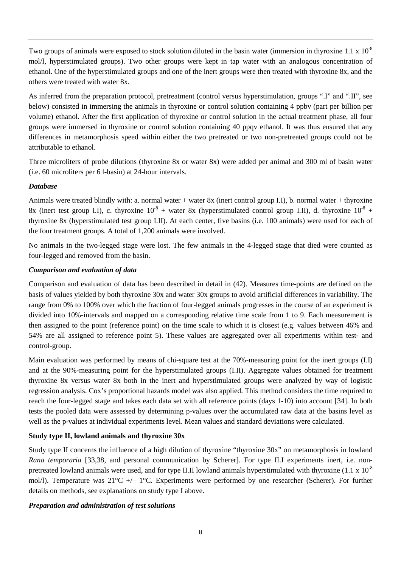Two groups of animals were exposed to stock solution diluted in the basin water (immersion in thyroxine 1.1 x 10<sup>-8</sup> mol/l, hyperstimulated groups). Two other groups were kept in tap water with an analogous concentration of ethanol. One of the hyperstimulated groups and one of the inert groups were then treated with thyroxine 8x, and the others were treated with water 8x.

As inferred from the preparation protocol, pretreatment (control versus hyperstimulation, groups ".I" and ".II", see below) consisted in immersing the animals in thyroxine or control solution containing 4 ppbv (part per billion per volume) ethanol. After the first application of thyroxine or control solution in the actual treatment phase, all four groups were immersed in thyroxine or control solution containing 40 ppqv ethanol. It was thus ensured that any differences in metamorphosis speed within either the two pretreated or two non-pretreated groups could not be attributable to ethanol.

Three microliters of probe dilutions (thyroxine 8x or water 8x) were added per animal and 300 ml of basin water (i.e. 60 microliters per 6 l-basin) at 24-hour intervals.

# *Database*

Animals were treated blindly with: a. normal water + water 8x (inert control group I.I), b. normal water + thyroxine 8x (inert test group I.I), c. thyroxine  $10^{-8}$  + water 8x (hyperstimulated control group I.II), d. thyroxine  $10^{-8}$  + thyroxine 8x (hyperstimulated test group I.II). At each center, five basins (i.e. 100 animals) were used for each of the four treatment groups. A total of 1,200 animals were involved.

No animals in the two-legged stage were lost. The few animals in the 4-legged stage that died were counted as four-legged and removed from the basin.

# *Comparison and evaluation of data*

Comparison and evaluation of data has been described in detail in (42). Measures time-points are defined on the basis of values yielded by both thyroxine 30x and water 30x groups to avoid artificial differences in variability. The range from 0% to 100% over which the fraction of four-legged animals progresses in the course of an experiment is divided into 10%-intervals and mapped on a corresponding relative time scale from 1 to 9. Each measurement is then assigned to the point (reference point) on the time scale to which it is closest (e.g. values between 46% and 54% are all assigned to reference point 5). These values are aggregated over all experiments within test- and control-group.

Main evaluation was performed by means of chi-square test at the 70%-measuring point for the inert groups (I.I) and at the 90%-measuring point for the hyperstimulated groups (I.II). Aggregate values obtained for treatment thyroxine 8x versus water 8x both in the inert and hyperstimulated groups were analyzed by way of logistic regression analysis. Cox's proportional hazards model was also applied. This method considers the time required to reach the four-legged stage and takes each data set with all reference points (days 1-10) into account [34]. In both tests the pooled data were assessed by determining p-values over the accumulated raw data at the basins level as well as the p-values at individual experiments level. Mean values and standard deviations were calculated.

# **Study type II, lowland animals and thyroxine 30x**

Study type II concerns the influence of a high dilution of thyroxine "thyroxine 30x" on metamorphosis in lowland *Rana temporaria* [33,38, and personal communication by Scherer]. For type II.I experiments inert, i.e. nonpretreated lowland animals were used, and for type II.II lowland animals hyperstimulated with thyroxine  $(1.1 \times 10^{-8})$ mol/l). Temperature was 21°C +/– 1°C. Experiments were performed by one researcher (Scherer). For further details on methods, see explanations on study type I above.

# *Preparation and administration of test solutions*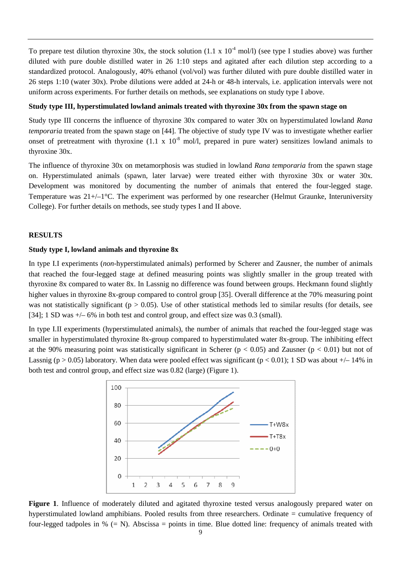To prepare test dilution thyroxine 30x, the stock solution  $(1.1 \times 10^{-4} \text{ mol/}l)$  (see type I studies above) was further diluted with pure double distilled water in 26 1:10 steps and agitated after each dilution step according to a standardized protocol. Analogously, 40% ethanol (vol/vol) was further diluted with pure double distilled water in 26 steps 1:10 (water 30x). Probe dilutions were added at 24-h or 48-h intervals, i.e. application intervals were not uniform across experiments. For further details on methods, see explanations on study type I above.

#### **Study type III, hyperstimulated lowland animals treated with thyroxine 30x from the spawn stage on**

Study type III concerns the influence of thyroxine 30x compared to water 30x on hyperstimulated lowland *Rana temporaria* treated from the spawn stage on [44]. The objective of study type IV was to investigate whether earlier onset of pretreatment with thyroxine  $(1.1 \times 10^{-8} \text{ mol/l})$ , prepared in pure water) sensitizes lowland animals to thyroxine 30x.

The influence of thyroxine 30x on metamorphosis was studied in lowland *Rana temporaria* from the spawn stage on. Hyperstimulated animals (spawn, later larvae) were treated either with thyroxine 30x or water 30x. Development was monitored by documenting the number of animals that entered the four-legged stage. Temperature was 21+/–1°C. The experiment was performed by one researcher (Helmut Graunke, Interuniversity College). For further details on methods, see study types I and II above.

# **RESULTS**

#### **Study type I, lowland animals and thyroxine 8x**

In type I.I experiments (*non*-hyperstimulated animals) performed by Scherer and Zausner, the number of animals that reached the four-legged stage at defined measuring points was slightly smaller in the group treated with thyroxine 8x compared to water 8x. In Lassnig no difference was found between groups. Heckmann found slightly higher values in thyroxine 8x-group compared to control group [35]. Overall difference at the 70% measuring point was not statistically significant ( $p > 0.05$ ). Use of other statistical methods led to similar results (for details, see [34]; 1 SD was  $\pm$ /– 6% in both test and control group, and effect size was 0.3 (small).

In type I.II experiments (hyperstimulated animals), the number of animals that reached the four-legged stage was smaller in hyperstimulated thyroxine 8x-group compared to hyperstimulated water 8x-group. The inhibiting effect at the 90% measuring point was statistically significant in Scherer ( $p < 0.05$ ) and Zausner ( $p < 0.01$ ) but not of Lassnig (p > 0.05) laboratory. When data were pooled effect was significant (p < 0.01); 1 SD was about  $+/-14\%$  in both test and control group, and effect size was 0.82 (large) (Figure 1).



**Figure 1**. Influence of moderately diluted and agitated thyroxine tested versus analogously prepared water on hyperstimulated lowland amphibians. Pooled results from three researchers. Ordinate = cumulative frequency of four-legged tadpoles in  $\%$  (= N). Abscissa = points in time. Blue dotted line: frequency of animals treated with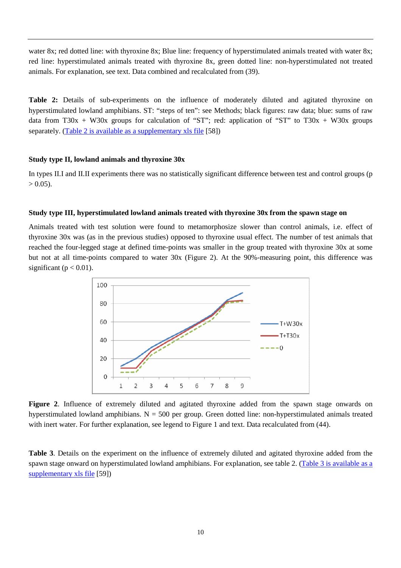water 8x; red dotted line: with thyroxine 8x; Blue line: frequency of hyperstimulated animals treated with water 8x; red line: hyperstimulated animals treated with thyroxine 8x, green dotted line: non-hyperstimulated not treated animals. For explanation, see text. Data combined and recalculated from (39).

**Table 2:** Details of sub-experiments on the influence of moderately diluted and agitated thyroxine on hyperstimulated lowland amphibians. ST: "steps of ten": see Methods; black figures: raw data; blue: sums of raw data from T30x + W30x groups for calculation of "ST"; red: application of "ST" to T30x + W30x groups separately. (Table 2 is available as a supplementary xls file [58])

### **Study type II, lowland animals and thyroxine 30x**

In types II.I and II.II experiments there was no statistically significant difference between test and control groups (p  $> 0.05$ ).

#### **Study type III, hyperstimulated lowland animals treated with thyroxine 30x from the spawn stage on**

Animals treated with test solution were found to metamorphosize slower than control animals, i.e. effect of thyroxine 30x was (as in the previous studies) opposed to thyroxine usual effect. The number of test animals that reached the four-legged stage at defined time-points was smaller in the group treated with thyroxine 30x at some but not at all time-points compared to water 30x (Figure 2). At the 90%-measuring point, this difference was significant ( $p < 0.01$ ).



**Figure 2**. Influence of extremely diluted and agitated thyroxine added from the spawn stage onwards on hyperstimulated lowland amphibians.  $N = 500$  per group. Green dotted line: non-hyperstimulated animals treated with inert water. For further explanation, see legend to Figure 1 and text. Data recalculated from (44).

**Table 3**. Details on the experiment on the influence of extremely diluted and agitated thyroxine added from the spawn stage onward on hyperstimulated lowland amphibians. For explanation, see table 2. (Table 3 is available as a supplementary xls file [59])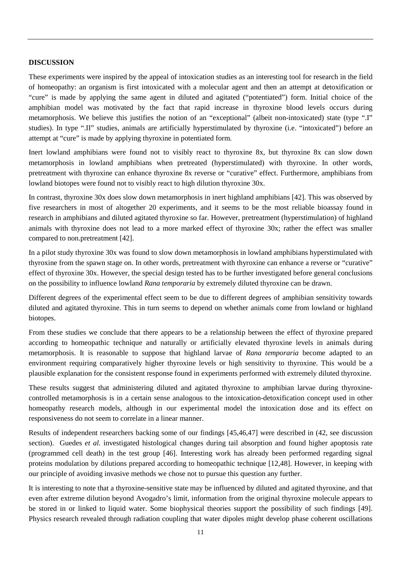### **DISCUSSION**

These experiments were inspired by the appeal of intoxication studies as an interesting tool for research in the field of homeopathy: an organism is first intoxicated with a molecular agent and then an attempt at detoxification or "cure" is made by applying the same agent in diluted and agitated ("potentiated") form. Initial choice of the amphibian model was motivated by the fact that rapid increase in thyroxine blood levels occurs during metamorphosis. We believe this justifies the notion of an "exceptional" (albeit non-intoxicated) state (type ".I" studies). In type ".II" studies, animals are artificially hyperstimulated by thyroxine (i.e. "intoxicated") before an attempt at "cure" is made by applying thyroxine in potentiated form.

Inert lowland amphibians were found not to visibly react to thyroxine 8x, but thyroxine 8x can slow down metamorphosis in lowland amphibians when pretreated (hyperstimulated) with thyroxine. In other words, pretreatment with thyroxine can enhance thyroxine 8x reverse or "curative" effect. Furthermore, amphibians from lowland biotopes were found not to visibly react to high dilution thyroxine 30x.

In contrast, thyroxine 30x does slow down metamorphosis in inert highland amphibians [42]. This was observed by five researchers in most of altogether 20 experiments, and it seems to be the most reliable bioassay found in research in amphibians and diluted agitated thyroxine so far. However, pretreatment (hyperstimulation) of highland animals with thyroxine does not lead to a more marked effect of thyroxine 30x; rather the effect was smaller compared to non.pretreatment [42].

In a pilot study thyroxine 30x was found to slow down metamorphosis in lowland amphibians hyperstimulated with thyroxine from the spawn stage on. In other words, pretreatment with thyroxine can enhance a reverse or "curative" effect of thyroxine 30x. However, the special design tested has to be further investigated before general conclusions on the possibility to influence lowland *Rana temporaria* by extremely diluted thyroxine can be drawn.

Different degrees of the experimental effect seem to be due to different degrees of amphibian sensitivity towards diluted and agitated thyroxine. This in turn seems to depend on whether animals come from lowland or highland biotopes.

From these studies we conclude that there appears to be a relationship between the effect of thyroxine prepared according to homeopathic technique and naturally or artificially elevated thyroxine levels in animals during metamorphosis. It is reasonable to suppose that highland larvae of *Rana temporaria* become adapted to an environment requiring comparatively higher thyroxine levels or high sensitivity to thyroxine. This would be a plausible explanation for the consistent response found in experiments performed with extremely diluted thyroxine.

These results suggest that administering diluted and agitated thyroxine to amphibian larvae during thyroxinecontrolled metamorphosis is in a certain sense analogous to the intoxication-detoxification concept used in other homeopathy research models, although in our experimental model the intoxication dose and its effect on responsiveness do not seem to correlate in a linear manner.

Results of independent researchers backing some of our findings [45,46,47] were described in (42, see discussion section). Guedes *et al.* investigated histological changes during tail absorption and found higher apoptosis rate (programmed cell death) in the test group [46]. Interesting work has already been performed regarding signal proteins modulation by dilutions prepared according to homeopathic technique [12,48]. However, in keeping with our principle of avoiding invasive methods we chose not to pursue this question any further.

It is interesting to note that a thyroxine-sensitive state may be influenced by diluted and agitated thyroxine, and that even after extreme dilution beyond Avogadro's limit, information from the original thyroxine molecule appears to be stored in or linked to liquid water. Some biophysical theories support the possibility of such findings [49]. Physics research revealed through radiation coupling that water dipoles might develop phase coherent oscillations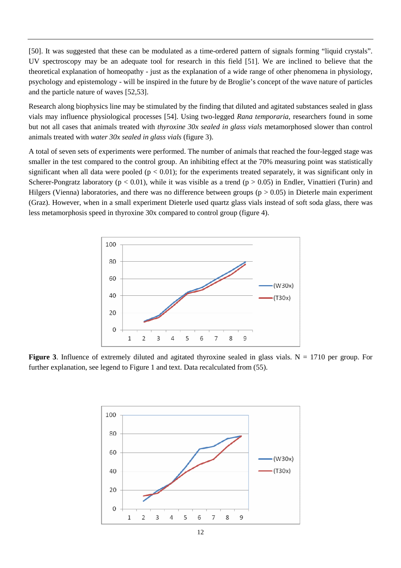[50]. It was suggested that these can be modulated as a time-ordered pattern of signals forming "liquid crystals". UV spectroscopy may be an adequate tool for research in this field [51]. We are inclined to believe that the theoretical explanation of homeopathy - just as the explanation of a wide range of other phenomena in physiology, psychology and epistemology - will be inspired in the future by de Broglie's concept of the wave nature of particles and the particle nature of waves [52,53].

Research along biophysics line may be stimulated by the finding that diluted and agitated substances sealed in glass vials may influence physiological processes [54]. Using two-legged *Rana temporaria*, researchers found in some but not all cases that animals treated with *thyroxine 30x sealed in glass vials* metamorphosed slower than control animals treated with *water 30x sealed in glass vials* (figure 3).

A total of seven sets of experiments were performed. The number of animals that reached the four-legged stage was smaller in the test compared to the control group. An inhibiting effect at the 70% measuring point was statistically significant when all data were pooled ( $p < 0.01$ ); for the experiments treated separately, it was significant only in Scherer-Pongratz laboratory ( $p < 0.01$ ), while it was visible as a trend ( $p > 0.05$ ) in Endler, Vinattieri (Turin) and Hilgers (Vienna) laboratories, and there was no difference between groups ( $p > 0.05$ ) in Dieterle main experiment (Graz). However, when in a small experiment Dieterle used quartz glass vials instead of soft soda glass, there was less metamorphosis speed in thyroxine 30x compared to control group (figure 4).



**Figure 3**. Influence of extremely diluted and agitated thyroxine sealed in glass vials.  $N = 1710$  per group. For further explanation, see legend to Figure 1 and text. Data recalculated from (55).

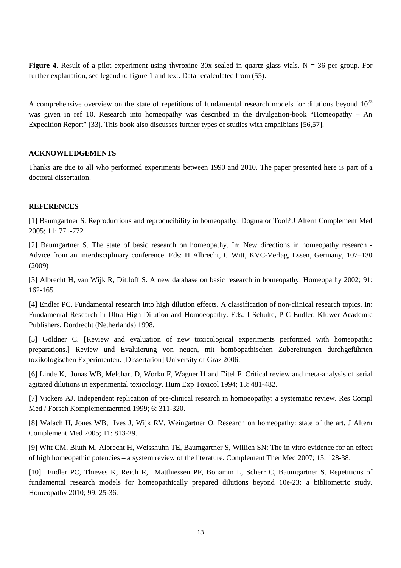**Figure 4.** Result of a pilot experiment using thyroxine 30x sealed in quartz glass vials.  $N = 36$  per group. For further explanation, see legend to figure 1 and text. Data recalculated from (55).

A comprehensive overview on the state of repetitions of fundamental research models for dilutions beyond  $10^{23}$ was given in ref 10. Research into homeopathy was described in the divulgation-book "Homeopathy – An Expedition Report" [33]. This book also discusses further types of studies with amphibians [56,57].

# **ACKNOWLEDGEMENTS**

Thanks are due to all who performed experiments between 1990 and 2010. The paper presented here is part of a doctoral dissertation.

### **REFERENCES**

[1] Baumgartner S. Reproductions and reproducibility in homeopathy: Dogma or Tool? J Altern Complement Med 2005; 11: 771-772

[2] Baumgartner S. The state of basic research on homeopathy. In: New directions in homeopathy research - Advice from an interdisciplinary conference. Eds: H Albrecht, C Witt, KVC-Verlag, Essen, Germany, 107–130 (2009)

[3] Albrecht H, van Wijk R, Dittloff S. A new database on basic research in homeopathy. Homeopathy 2002; 91: 162-165.

[4] Endler PC. Fundamental research into high dilution effects. A classification of non-clinical research topics. In: Fundamental Research in Ultra High Dilution and Homoeopathy. Eds: J Schulte, P C Endler, Kluwer Academic Publishers, Dordrecht (Netherlands) 1998.

[5] Göldner C. [Review and evaluation of new toxicological experiments performed with homeopathic preparations.] Review und Evaluierung von neuen, mit homöopathischen Zubereitungen durchgeführten toxikologischen Experimenten. [Dissertation] University of Graz 2006.

[6] Linde K, Jonas WB, Melchart D, Worku F, Wagner H and Eitel F. Critical review and meta-analysis of serial agitated dilutions in experimental toxicology. Hum Exp Toxicol 1994; 13: 481-482.

[7] Vickers AJ. Independent replication of pre-clinical research in homoeopathy: a systematic review. Res Compl Med / Forsch Komplementaermed 1999; 6: 311-320.

[8] Walach H, Jones WB, Ives J, Wijk RV, Weingartner O. Research on homeopathy: state of the art. J Altern Complement Med 2005; 11: 813-29.

[9] Witt CM, Bluth M, Albrecht H, Weisshuhn TE, Baumgartner S, Willich SN: The in vitro evidence for an effect of high homeopathic potencies – a system review of the literature. Complement Ther Med 2007; 15: 128-38.

[10] Endler PC, Thieves K, Reich R, Matthiessen PF, Bonamin L, Scherr C, Baumgartner S. Repetitions of fundamental research models for homeopathically prepared dilutions beyond 10e-23: a bibliometric study. Homeopathy 2010; 99: 25-36.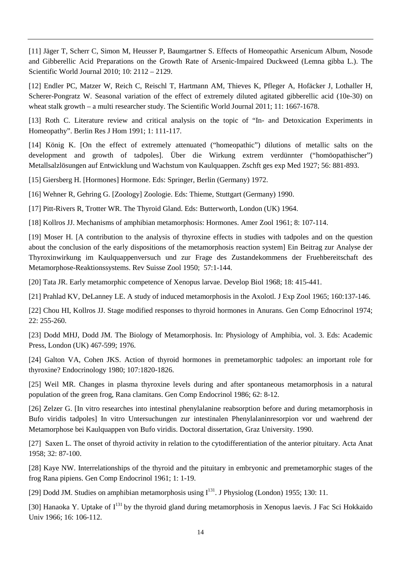[11] Jäger T, Scherr C, Simon M, Heusser P, Baumgartner S. Effects of Homeopathic Arsenicum Album, Nosode and Gibberellic Acid Preparations on the Growth Rate of Arsenic-Impaired Duckweed (Lemna gibba L.). The Scientific World Journal 2010; 10: 2112 – 2129.

[12] Endler PC, Matzer W, Reich C, Reischl T, Hartmann AM, Thieves K, Pfleger A, Hofäcker J, Lothaller H, Scherer-Pongratz W. Seasonal variation of the effect of extremely diluted agitated gibberellic acid (10e-30) on wheat stalk growth – a multi researcher study. The Scientific World Journal 2011; 11: 1667-1678.

[13] Roth C. Literature review and critical analysis on the topic of "In- and Detoxication Experiments in Homeopathy". Berlin Res J Hom 1991; 1: 111-117.

[14] König K. [On the effect of extremely attenuated ("homeopathic") dilutions of metallic salts on the development and growth of tadpoles]. Über die Wirkung extrem verdünnter ("homöopathischer") Metallsalzlösungen auf Entwicklung und Wachstum von Kaulquappen. Zschft ges exp Med 1927; 56: 881-893.

[15] Giersberg H. [Hormones] Hormone. Eds: Springer, Berlin (Germany) 1972.

[16] Wehner R, Gehring G. [Zoology] Zoologie. Eds: Thieme, Stuttgart (Germany) 1990.

[17] Pitt-Rivers R, Trotter WR. The Thyroid Gland. Eds: Butterworth, London (UK) 1964.

[18] Kollros JJ. Mechanisms of amphibian metamorphosis: Hormones. Amer Zool 1961; 8: 107-114.

[19] Moser H. [A contribution to the analysis of thyroxine effects in studies with tadpoles and on the question about the conclusion of the early dispositions of the metamorphosis reaction system] Ein Beitrag zur Analyse der Thyroxinwirkung im Kaulquappenversuch und zur Frage des Zustandekommens der Fruehbereitschaft des Metamorphose-Reaktionssystems. Rev Suisse Zool 1950; 57:1-144.

[20] Tata JR. Early metamorphic competence of Xenopus larvae. Develop Biol 1968; 18: 415-441.

[21] Prahlad KV, DeLanney LE. A study of induced metamorphosis in the Axolotl. J Exp Zool 1965; 160:137-146.

[22] Chou HI, Kollros JJ. Stage modified responses to thyroid hormones in Anurans. Gen Comp Ednocrinol 1974; 22: 255-260.

[23] Dodd MHJ, Dodd JM. The Biology of Metamorphosis. In: Physiology of Amphibia, vol. 3. Eds: Academic Press, London (UK) 467-599; 1976.

[24] Galton VA, Cohen JKS. Action of thyroid hormones in premetamorphic tadpoles: an important role for thyroxine? Endocrinology 1980; 107:1820-1826.

[25] Weil MR. Changes in plasma thyroxine levels during and after spontaneous metamorphosis in a natural population of the green frog, Rana clamitans. Gen Comp Endocrinol 1986; 62: 8-12.

[26] Zelzer G. [In vitro researches into intestinal phenylalanine reabsorption before and during metamorphosis in Bufo viridis tadpoles] In vitro Untersuchungen zur intestinalen Phenylalaninresorpion vor und waehrend der Metamorphose bei Kaulquappen von Bufo viridis. Doctoral dissertation, Graz University. 1990.

[27] Saxen L. The onset of thyroid activity in relation to the cytodifferentiation of the anterior pituitary. Acta Anat 1958; 32: 87-100.

[28] Kaye NW. Interrelationships of the thyroid and the pituitary in embryonic and premetamorphic stages of the frog Rana pipiens. Gen Comp Endocrinol 1961; 1: 1-19.

[29] Dodd JM. Studies on amphibian metamorphosis using  $I^{131}$ . J Physiolog (London) 1955; 130: 11.

[30] Hanaoka Y. Uptake of  $I^{131}$  by the thyroid gland during metamorphosis in Xenopus laevis. J Fac Sci Hokkaido Univ 1966; 16: 106-112.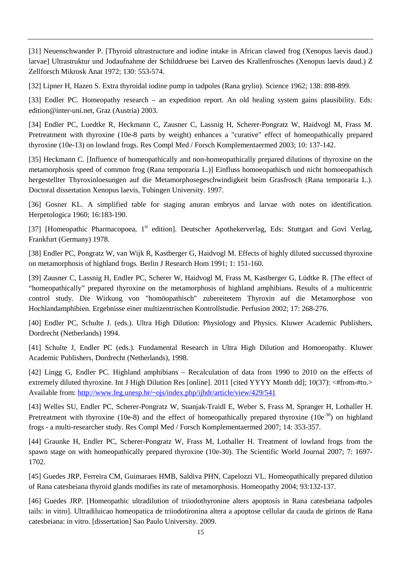[31] Neuenschwander P. [Thyroid ultrastructure and iodine intake in African clawed frog (Xenopus laevis daud.) larvae] Ultrastruktur und Jodaufnahme der Schilddruese bei Larven des Krallenfrosches (Xenopus laevis daud.) Z Zellforsch Mikrosk Anat 1972; 130: 553-574.

[32] Lipner H, Hazen S. Extra thyroidal iodine pump in tadpoles (Rana grylio). Science 1962; 138: 898-899.

[33] Endler PC. Homeopathy research – an expedition report. An old healing system gains plausibility. Eds: edition@inter-uni.net, Graz (Austria) 2003.

[34] Endler PC, Luedtke R, Heckmann C, Zausner C, Lassnig H, Scherer-Pongratz W, Haidvogl M, Frass M. Pretreatment with thyroxine (10e-8 parts by weight) enhances a "curative" effect of homeopathically prepared thyroxine (10e-13) on lowland frogs. Res Compl Med / Forsch Komplementaermed 2003; 10: 137-142.

[35] Heckmann C. [Influence of homeopathically and non-homeopathically prepared dilutions of thyroxine on the metamorphosis speed of common frog (Rana temporaria L.)] Einfluss homoeopathisch und nicht homoeopathisch hergestellter Thyroxinloesungen auf die Metamorphosegeschwindigkeit beim Grasfrosch (Rana temporaria L.). Doctoral dissertation Xenopus laevis, Tubingen University. 1997.

[36] Gosner KL. A simplified table for staging anuran embryos and larvae with notes on identification. Herpetologica 1960; 16:183-190.

[37] [Homeopathic Pharmacopoea, 1<sup>st</sup> edition]. Deutscher Apothekerverlag, Eds: Stuttgart and Govi Verlag, Frankfurt (Germany) 1978.

[38] Endler PC, Pongratz W, van Wijk R, Kastberger G, Haidvogl M. Effects of highly diluted succussed thyroxine on metamorphosis of highland frogs. Berlin J Research Hom 1991; 1: 151-160.

[39] Zausner C, Lassnig H, Endler PC, Scherer W, Haidvogl M, Frass M, Kastberger G, Lüdtke R. [The effect of "homeopathically" prepared thyroxine on the metamorphosis of highland amphibians. Results of a multicentric control study. Die Wirkung von "homöopathisch" zubereitetem Thyroxin auf die Metamorphose von Hochlandamphibien. Ergebnisse einer multizentrischen Kontrollstudie. Perfusion 2002; 17: 268-276.

[40] Endler PC, Schulte J. (eds.). Ultra High Dilution: Physiology and Physics. Kluwer Academic Publishers, Dordrecht (Netherlands) 1994.

[41] Schulte J, Endler PC (eds.). Fundamental Research in Ultra High Dilution and Homoeopathy. Kluwer Academic Publishers, Dordrecht (Netherlands), 1998.

[42] Lingg G, Endler PC. Highland amphibians – Recalculation of data from 1990 to 2010 on the effects of extremely diluted thyroxine. Int J High Dilution Res [online]. 2011 [cited YYYY Month dd]; 10(37): <#from-#to.> Available from: http://www.feg.unesp.br/~ojs/index.php/ijhdr/article/view/429/541

[43] Welles SU, Endler PC, Scherer-Pongratz W, Suanjak-Traidl E, Weber S, Frass M, Spranger H, Lothaller H. Pretreatment with thyroxine (10e-8) and the effect of homeopathically prepared thyroxine (10e<sup>-30</sup>) on highland frogs - a multi-researcher study. Res Compl Med / Forsch Komplementaermed 2007; 14: 353-357.

[44] Graunke H, Endler PC, Scherer-Pongratz W, Frass M, Lothaller H. Treatment of lowland frogs from the spawn stage on with homeopathically prepared thyroxine (10e-30). The Scientific World Journal 2007; 7: 1697- 1702.

[45] Guedes JRP, Ferreira CM, Guimaraes HMB, Saldiva PHN, Capelozzi VL. Homeopathically prepared dilution of Rana catesbeiana thyroid glands modifies its rate of metamorphosis. Homeopathy 2004; 93:132-137.

[46] Guedes JRP. [Homeopathic ultradilution of triiodothyronine alters apoptosis in Rana catesbeiana tadpoles tails: in vitro]. Ultradiluicao homeopatica de triiodotironina altera a apoptose cellular da cauda de girinos de Rana catesbeiana: in vitro. [dissertation] Sao Paulo University. 2009.